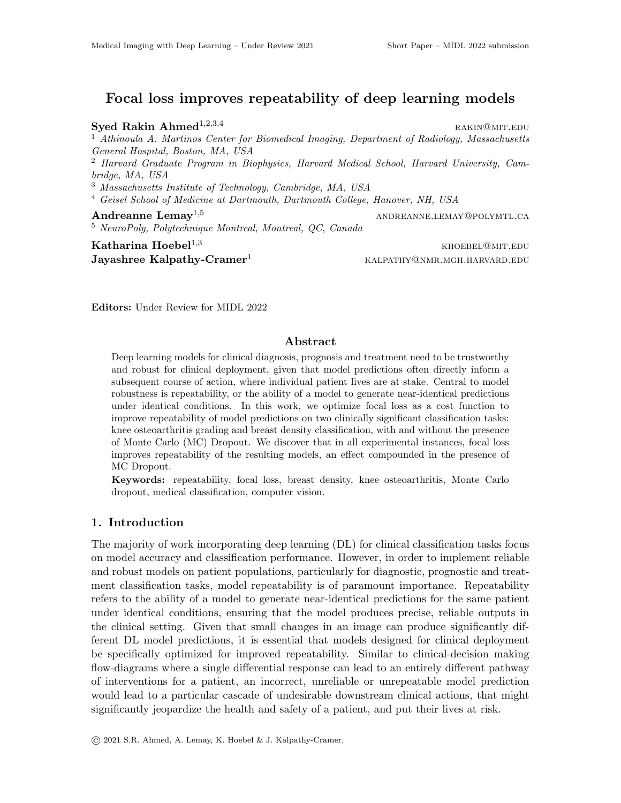# Focal loss improves repeatability of deep learning models

Syed Rakin Ahmed<sup>1,2,3,4</sup> rakin@mit.edu <sup>1</sup> Athinoula A. Martinos Center for Biomedical Imaging, Department of Radiology, Massachusetts General Hospital, Boston, MA, USA <sup>2</sup> Harvard Graduate Program in Biophysics, Harvard Medical School, Harvard University, Cambridge, MA, USA <sup>3</sup> Massachusetts Institute of Technology, Cambridge, MA, USA <sup>4</sup> Geisel School of Medicine at Dartmouth, Dartmouth College, Hanover, NH, USA Andreanne Lemay<sup>1,5</sup> and and and and and annual and annual and annual and annual and annual and annual and annual and annual and annual and annual and annual and annual and annual and annual and annual and annual and annua <sup>5</sup> NeuroPoly, Polytechnique Montreal, Montreal, QC, Canada  $Katharina Hoebel<sup>1,3</sup>$  khoebel<sup>1,3</sup>

Jayashree Kalpathy-Cramer<sup>1</sup> KALPATHY@NMR.MGH.HARVARD.EDU

Editors: Under Review for MIDL 2022

### Abstract

Deep learning models for clinical diagnosis, prognosis and treatment need to be trustworthy and robust for clinical deployment, given that model predictions often directly inform a subsequent course of action, where individual patient lives are at stake. Central to model robustness is repeatability, or the ability of a model to generate near-identical predictions under identical conditions. In this work, we optimize focal loss as a cost function to improve repeatability of model predictions on two clinically significant classification tasks: knee osteoarthritis grading and breast density classification, with and without the presence of Monte Carlo (MC) Dropout. We discover that in all experimental instances, focal loss improves repeatability of the resulting models, an effect compounded in the presence of MC Dropout.

Keywords: repeatability, focal loss, breast density, knee osteoarthritis, Monte Carlo dropout, medical classification, computer vision.

## 1. Introduction

The majority of work incorporating deep learning (DL) for clinical classification tasks focus on model accuracy and classification performance. However, in order to implement reliable and robust models on patient populations, particularly for diagnostic, prognostic and treatment classification tasks, model repeatability is of paramount importance. Repeatability refers to the ability of a model to generate near-identical predictions for the same patient under identical conditions, ensuring that the model produces precise, reliable outputs in the clinical setting. Given that small changes in an image can produce significantly different DL model predictions, it is essential that models designed for clinical deployment be specifically optimized for improved repeatability. Similar to clinical-decision making flow-diagrams where a single differential response can lead to an entirely different pathway of interventions for a patient, an incorrect, unreliable or unrepeatable model prediction would lead to a particular cascade of undesirable downstream clinical actions, that might significantly jeopardize the health and safety of a patient, and put their lives at risk.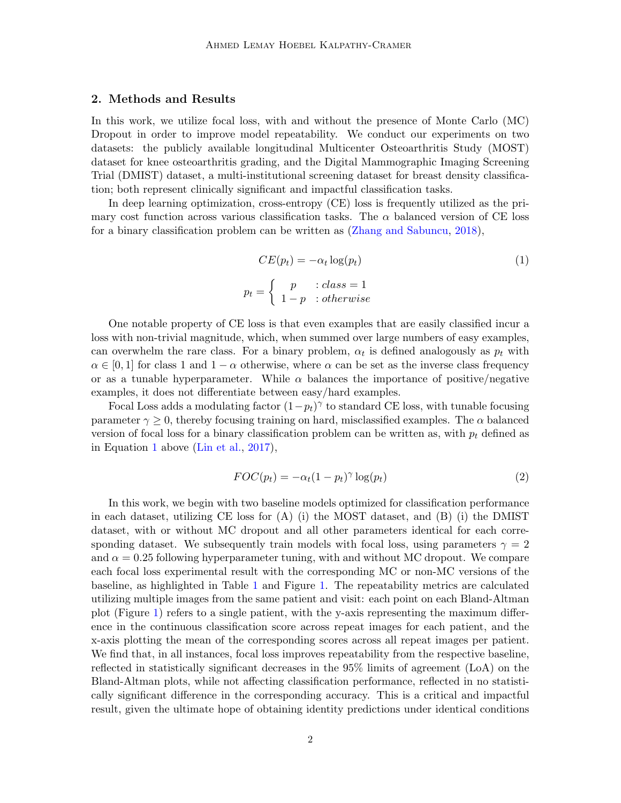#### 2. Methods and Results

In this work, we utilize focal loss, with and without the presence of Monte Carlo (MC) Dropout in order to improve model repeatability. We conduct our experiments on two datasets: the publicly available longitudinal Multicenter Osteoarthritis Study (MOST) dataset for knee osteoarthritis grading, and the Digital Mammographic Imaging Screening Trial (DMIST) dataset, a multi-institutional screening dataset for breast density classification; both represent clinically significant and impactful classification tasks.

In deep learning optimization, cross-entropy (CE) loss is frequently utilized as the primary cost function across various classification tasks. The  $\alpha$  balanced version of CE loss for a binary classification problem can be written as [\(Zhang and Sabuncu,](#page-2-0) [2018\)](#page-2-0),

<span id="page-1-0"></span>
$$
CE(p_t) = -\alpha_t \log(p_t)
$$
  
\n
$$
p_t = \begin{cases} p & :class = 1 \\ 1 - p & :otherwise \end{cases}
$$
\n(1)

One notable property of CE loss is that even examples that are easily classified incur a loss with non-trivial magnitude, which, when summed over large numbers of easy examples, can overwhelm the rare class. For a binary problem,  $\alpha_t$  is defined analogously as  $p_t$  with  $\alpha \in [0,1]$  for class 1 and  $1-\alpha$  otherwise, where  $\alpha$  can be set as the inverse class frequency or as a tunable hyperparameter. While  $\alpha$  balances the importance of positive/negative examples, it does not differentiate between easy/hard examples.

Focal Loss adds a modulating factor  $(1-p_t)^\gamma$  to standard CE loss, with tunable focusing parameter  $\gamma \geq 0$ , thereby focusing training on hard, misclassified examples. The  $\alpha$  balanced version of focal loss for a binary classification problem can be written as, with  $p_t$  defined as in Equation [1](#page-1-0) above [\(Lin et al.,](#page-2-1) [2017\)](#page-2-1),

$$
FOC(p_t) = -\alpha_t (1 - p_t)^\gamma \log(p_t)
$$
\n(2)

In this work, we begin with two baseline models optimized for classification performance in each dataset, utilizing CE loss for (A) (i) the MOST dataset, and (B) (i) the DMIST dataset, with or without MC dropout and all other parameters identical for each corresponding dataset. We subsequently train models with focal loss, using parameters  $\gamma = 2$ and  $\alpha = 0.25$  following hyperparameter tuning, with and without MC dropout. We compare each focal loss experimental result with the corresponding MC or non-MC versions of the baseline, as highlighted in Table [1](#page-2-2) and Figure [1.](#page-2-3) The repeatability metrics are calculated utilizing multiple images from the same patient and visit: each point on each Bland-Altman plot (Figure [1\)](#page-2-3) refers to a single patient, with the y-axis representing the maximum difference in the continuous classification score across repeat images for each patient, and the x-axis plotting the mean of the corresponding scores across all repeat images per patient. We find that, in all instances, focal loss improves repeatability from the respective baseline, reflected in statistically significant decreases in the 95% limits of agreement (LoA) on the Bland-Altman plots, while not affecting classification performance, reflected in no statistically significant difference in the corresponding accuracy. This is a critical and impactful result, given the ultimate hope of obtaining identity predictions under identical conditions